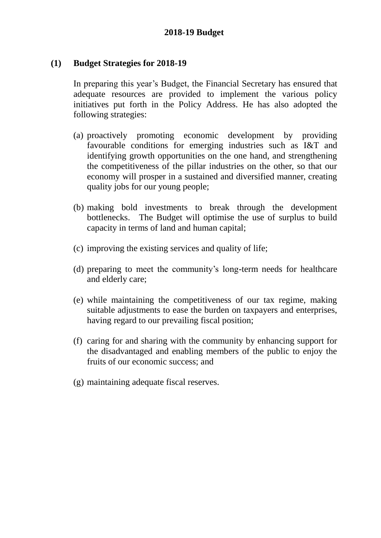### **(1) Budget Strategies for 2018-19**

In preparing this year's Budget, the Financial Secretary has ensured that adequate resources are provided to implement the various policy initiatives put forth in the Policy Address. He has also adopted the following strategies:

- (a) proactively promoting economic development by providing favourable conditions for emerging industries such as I&T and identifying growth opportunities on the one hand, and strengthening the competitiveness of the pillar industries on the other, so that our economy will prosper in a sustained and diversified manner, creating quality jobs for our young people;
- (b) making bold investments to break through the development bottlenecks. The Budget will optimise the use of surplus to build capacity in terms of land and human capital;
- (c) improving the existing services and quality of life;
- (d) preparing to meet the community's long-term needs for healthcare and elderly care;
- (e) while maintaining the competitiveness of our tax regime, making suitable adjustments to ease the burden on taxpayers and enterprises, having regard to our prevailing fiscal position;
- (f) caring for and sharing with the community by enhancing support for the disadvantaged and enabling members of the public to enjoy the fruits of our economic success; and
- (g) maintaining adequate fiscal reserves.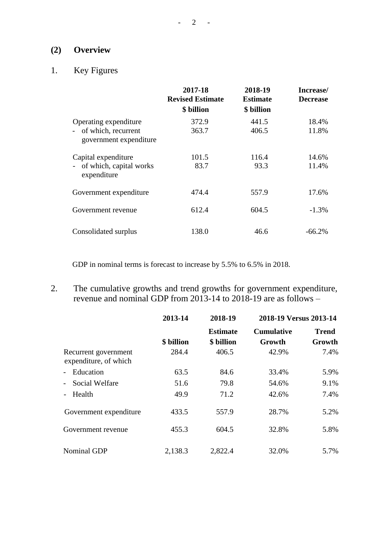## **(2) Overview**

# 1. Key Figures

|                                                                        | 2017-18<br><b>Revised Estimate</b><br>\$ billion | 2018-19<br><b>Estimate</b><br>\$ billion | Increase/<br><b>Decrease</b> |
|------------------------------------------------------------------------|--------------------------------------------------|------------------------------------------|------------------------------|
| Operating expenditure<br>of which, recurrent<br>government expenditure | 372.9<br>363.7                                   | 441.5<br>406.5                           | 18.4%<br>11.8%               |
| Capital expenditure<br>- of which, capital works<br>expenditure        | 101.5<br>83.7                                    | 116.4<br>93.3                            | 14.6%<br>11.4%               |
| Government expenditure                                                 | 474.4                                            | 557.9                                    | 17.6%                        |
| Government revenue                                                     | 612.4                                            | 604.5                                    | $-1.3\%$                     |
| Consolidated surplus                                                   | 138.0                                            | 46.6                                     | $-66.2\%$                    |

GDP in nominal terms is forecast to increase by 5.5% to 6.5% in 2018.

2. The cumulative growths and trend growths for government expenditure, revenue and nominal GDP from 2013-14 to 2018-19 are as follows –

|                                               | 2013-14    | 2018-19                       | 2018-19 Versus 2013-14      |                        |
|-----------------------------------------------|------------|-------------------------------|-----------------------------|------------------------|
|                                               | \$ billion | <b>Estimate</b><br>\$ billion | <b>Cumulative</b><br>Growth | <b>Trend</b><br>Growth |
| Recurrent government<br>expenditure, of which | 284.4      | 406.5                         | 42.9%                       | 7.4%                   |
| Education                                     | 63.5       | 84.6                          | 33.4%                       | 5.9%                   |
| Social Welfare                                | 51.6       | 79.8                          | 54.6%                       | 9.1%                   |
| Health                                        | 49.9       | 71.2                          | 42.6%                       | 7.4%                   |
| Government expenditure                        | 433.5      | 557.9                         | 28.7%                       | 5.2%                   |
| Government revenue                            | 455.3      | 604.5                         | 32.8%                       | 5.8%                   |
| <b>Nominal GDP</b>                            | 2,138.3    | 2,822.4                       | 32.0%                       | 5.7%                   |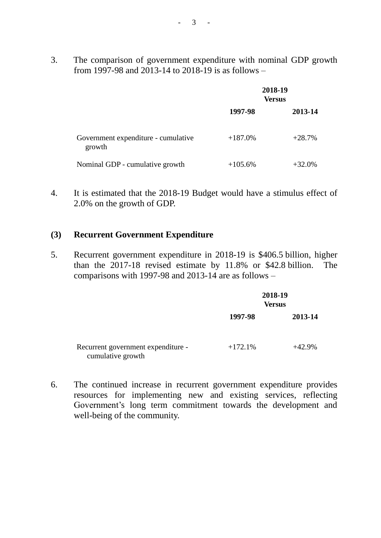3. The comparison of government expenditure with nominal GDP growth from 1997-98 and 2013-14 to 2018-19 is as follows –

|                                               | 2018-19<br><b>Versus</b> |           |  |
|-----------------------------------------------|--------------------------|-----------|--|
|                                               | 1997-98                  | 2013-14   |  |
| Government expenditure - cumulative<br>growth | $+187.0%$                | $+28.7%$  |  |
| Nominal GDP - cumulative growth               | $+105.6%$                | $+32.0\%$ |  |

4. It is estimated that the 2018-19 Budget would have a stimulus effect of 2.0% on the growth of GDP.

### **(3) Recurrent Government Expenditure**

5. Recurrent government expenditure in 2018-19 is \$406.5 billion, higher than the 2017-18 revised estimate by 11.8% or \$42.8 billion. The comparisons with 1997-98 and 2013-14 are as follows –

|                                                         | 2018-19<br><b>Versus</b> |          |
|---------------------------------------------------------|--------------------------|----------|
|                                                         | 1997-98                  | 2013-14  |
| Recurrent government expenditure -<br>cumulative growth | $+172.1%$                | $+42.9%$ |

6. The continued increase in recurrent government expenditure provides resources for implementing new and existing services, reflecting Government's long term commitment towards the development and well-being of the community.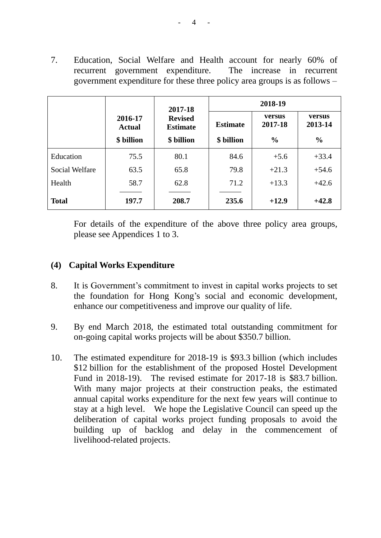7. Education, Social Welfare and Health account for nearly 60% of recurrent government expenditure. The increase in recurrent government expenditure for these three policy area groups is as follows –

|                       |                          | 2017-18                           | 2018-19         |                   |                   |  |
|-----------------------|--------------------------|-----------------------------------|-----------------|-------------------|-------------------|--|
|                       | 2016-17<br><b>Actual</b> | <b>Revised</b><br><b>Estimate</b> | <b>Estimate</b> | versus<br>2017-18 | versus<br>2013-14 |  |
|                       | \$ billion               | \$ billion                        | \$ billion      | $\frac{0}{0}$     | $\frac{0}{0}$     |  |
| Education             | 75.5                     | 80.1                              | 84.6            | $+5.6$            | $+33.4$           |  |
| <b>Social Welfare</b> | 63.5                     | 65.8                              | 79.8            | $+21.3$           | $+54.6$           |  |
| Health                | 58.7                     | 62.8                              | 71.2            | $+13.3$           | $+42.6$           |  |
| <b>Total</b>          | 197.7                    | 208.7                             | 235.6           | $+12.9$           | $+42.8$           |  |

For details of the expenditure of the above three policy area groups, please see Appendices 1 to 3.

### **(4) Capital Works Expenditure**

- 8. It is Government's commitment to invest in capital works projects to set the foundation for Hong Kong's social and economic development, enhance our competitiveness and improve our quality of life.
- 9. By end March 2018, the estimated total outstanding commitment for on-going capital works projects will be about \$350.7 billion.
- 10. The estimated expenditure for 2018-19 is \$93.3 billion (which includes \$12 billion for the establishment of the proposed Hostel Development Fund in 2018-19). The revised estimate for 2017-18 is \$83.7 billion. With many major projects at their construction peaks, the estimated annual capital works expenditure for the next few years will continue to stay at a high level. We hope the Legislative Council can speed up the deliberation of capital works project funding proposals to avoid the building up of backlog and delay in the commencement of livelihood-related projects.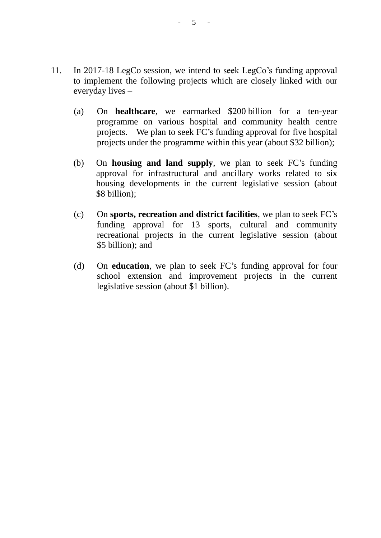- 11. In 2017-18 LegCo session, we intend to seek LegCo's funding approval to implement the following projects which are closely linked with our everyday lives –
	- (a) On **healthcare**, we earmarked \$200 billion for a ten-year programme on various hospital and community health centre projects. We plan to seek FC's funding approval for five hospital projects under the programme within this year (about \$32 billion);
	- (b) On **housing and land supply**, we plan to seek FC's funding approval for infrastructural and ancillary works related to six housing developments in the current legislative session (about \$8 billion);
	- (c) On **sports, recreation and district facilities**, we plan to seek FC's funding approval for 13 sports, cultural and community recreational projects in the current legislative session (about \$5 billion); and
	- (d) On **education**, we plan to seek FC's funding approval for four school extension and improvement projects in the current legislative session (about \$1 billion).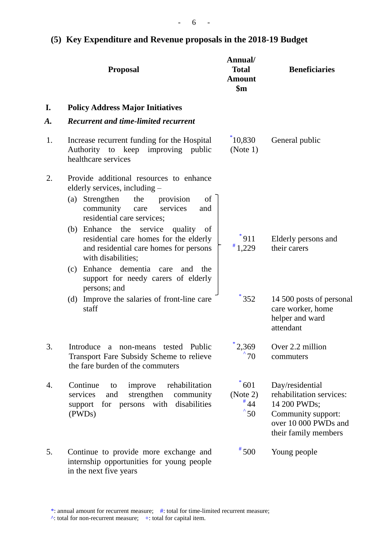# **(5) Key Expenditure and Revenue proposals in the 2018-19 Budget**

|    | <b>Proposal</b>                                                                                                                                                                                                                                                                                                                                                                                                                                          | Annual/<br><b>Total</b><br><b>Amount</b><br>$\mathbf{\$m}$ | <b>Beneficiaries</b>                                                                                                              |
|----|----------------------------------------------------------------------------------------------------------------------------------------------------------------------------------------------------------------------------------------------------------------------------------------------------------------------------------------------------------------------------------------------------------------------------------------------------------|------------------------------------------------------------|-----------------------------------------------------------------------------------------------------------------------------------|
| I. | <b>Policy Address Major Initiatives</b>                                                                                                                                                                                                                                                                                                                                                                                                                  |                                                            |                                                                                                                                   |
| А. | <b>Recurrent and time-limited recurrent</b>                                                                                                                                                                                                                                                                                                                                                                                                              |                                                            |                                                                                                                                   |
| 1. | Increase recurrent funding for the Hospital<br>Authority to keep improving public<br>healthcare services                                                                                                                                                                                                                                                                                                                                                 | $*10,830$<br>(Note 1)                                      | General public                                                                                                                    |
| 2. | Provide additional resources to enhance<br>elderly services, including -<br>(a) Strengthen<br>the<br>provision<br>of<br>community<br>services<br>and<br>care<br>residential care services;<br>(b) Enhance the<br>service quality<br>of<br>residential care homes for the elderly<br>and residential care homes for persons<br>with disabilities;<br>Enhance dementia<br>the<br>(c)<br>care<br>and<br>support for needy carers of elderly<br>persons; and | $*911$<br>$*1,229$                                         | Elderly persons and<br>their carers                                                                                               |
|    | (d) Improve the salaries of front-line care<br>staff                                                                                                                                                                                                                                                                                                                                                                                                     | $*352$                                                     | 14 500 posts of personal<br>care worker, home<br>helper and ward<br>attendant                                                     |
| 3. | Introduce<br>a non-means<br>Public<br>tested<br>Transport Fare Subsidy Scheme to relieve<br>the fare burden of the commuters                                                                                                                                                                                                                                                                                                                             | $*2,369$<br>70                                             | Over 2.2 million<br>commuters                                                                                                     |
| 4. | Continue<br>rehabilitation<br>improve<br>to<br>strengthen<br>community<br>services<br>and<br>disabilities<br>persons<br>with<br>for<br>support<br>(PWDs)                                                                                                                                                                                                                                                                                                 | $*601$<br>(Note 2)<br>$*44$<br>$^{\degree}50$              | Day/residential<br>rehabilitation services:<br>14 200 PWDs;<br>Community support:<br>over 10 000 PWDs and<br>their family members |
| 5. | Continue to provide more exchange and<br>internship opportunities for young people<br>in the next five years                                                                                                                                                                                                                                                                                                                                             | $*500$                                                     | Young people                                                                                                                      |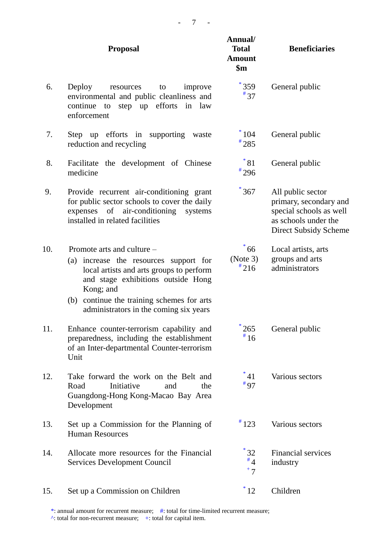|     | <b>Proposal</b>                                                                                                                                                                                                                                             | Annual/<br><b>Total</b><br><b>Amount</b><br>$\mathbf{\$m}$ | <b>Beneficiaries</b>                                                                                                           |
|-----|-------------------------------------------------------------------------------------------------------------------------------------------------------------------------------------------------------------------------------------------------------------|------------------------------------------------------------|--------------------------------------------------------------------------------------------------------------------------------|
| 6.  | Deploy<br>resources<br>improve<br>to<br>environmental and public cleanliness and<br>step up efforts<br>continue<br>to<br>in<br>law<br>enforcement                                                                                                           | $*359$<br>$*37$                                            | General public                                                                                                                 |
| 7.  | Step up efforts in supporting<br>waste<br>reduction and recycling                                                                                                                                                                                           | $*104$<br>$*285$                                           | General public                                                                                                                 |
| 8.  | Facilitate the development of Chinese<br>medicine                                                                                                                                                                                                           | $^*81$<br>$*296$                                           | General public                                                                                                                 |
| 9.  | Provide recurrent air-conditioning grant<br>for public sector schools to cover the daily<br>expenses of air-conditioning systems<br>installed in related facilities                                                                                         | 367                                                        | All public sector<br>primary, secondary and<br>special schools as well<br>as schools under the<br><b>Direct Subsidy Scheme</b> |
| 10. | Promote arts and culture –<br>(a) increase the resources support for<br>local artists and arts groups to perform<br>and stage exhibitions outside Hong<br>Kong; and<br>(b) continue the training schemes for arts<br>administrators in the coming six years | $\degree{66}$<br>(Note 3)<br>$*216$                        | Local artists, arts<br>groups and arts<br>administrators                                                                       |
| 11. | Enhance counter-terrorism capability and<br>preparedness, including the establishment<br>of an Inter-departmental Counter-terrorism<br>Unit                                                                                                                 | 265<br>$*16$                                               | General public                                                                                                                 |
| 12. | Take forward the work on the Belt and<br>Initiative<br>Road<br>and<br>the<br>Guangdong-Hong Kong-Macao Bay Area<br>Development                                                                                                                              | $^*41$<br>$*97$                                            | Various sectors                                                                                                                |
| 13. | Set up a Commission for the Planning of<br><b>Human Resources</b>                                                                                                                                                                                           | $*123$                                                     | Various sectors                                                                                                                |
| 14. | Allocate more resources for the Financial<br><b>Services Development Council</b>                                                                                                                                                                            | $^*32$<br>$^{\#}4$<br>$+7$                                 | <b>Financial services</b><br>industry                                                                                          |
| 15. | Set up a Commission on Children                                                                                                                                                                                                                             | $^*12$                                                     | Children                                                                                                                       |

\*: annual amount for recurrent measure; #: total for time-limited recurrent measure;  $\wedge$ : total for non-recurrent measure; +: total for capital item.

- 7 -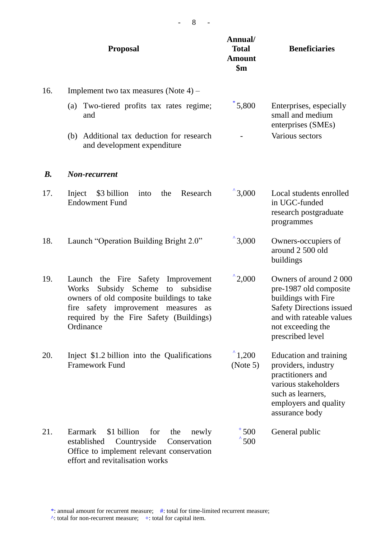|           | <b>Proposal</b>                                                                                                                                                                                                                              | Annual/<br><b>Total</b><br><b>Amount</b><br>$\mathbf{\$m}$ | <b>Beneficiaries</b>                                                                                                                                                           |
|-----------|----------------------------------------------------------------------------------------------------------------------------------------------------------------------------------------------------------------------------------------------|------------------------------------------------------------|--------------------------------------------------------------------------------------------------------------------------------------------------------------------------------|
| 16.       | Implement two tax measures (Note 4) –                                                                                                                                                                                                        |                                                            |                                                                                                                                                                                |
|           | Two-tiered profits tax rates regime;<br>(a)<br>and                                                                                                                                                                                           | $*5,800$                                                   | Enterprises, especially<br>small and medium<br>enterprises (SMEs)                                                                                                              |
|           | (b) Additional tax deduction for research<br>and development expenditure                                                                                                                                                                     |                                                            | Various sectors                                                                                                                                                                |
| <b>B.</b> | Non-recurrent                                                                                                                                                                                                                                |                                                            |                                                                                                                                                                                |
| 17.       | Research<br>\$3 billion<br>Inject<br>into<br>the<br><b>Endowment Fund</b>                                                                                                                                                                    | $^{\prime}$ 3,000                                          | Local students enrolled<br>in UGC-funded<br>research postgraduate<br>programmes                                                                                                |
| 18.       | Launch "Operation Building Bright 2.0"                                                                                                                                                                                                       | $^{\wedge}3,000$                                           | Owners-occupiers of<br>around 2 500 old<br>buildings                                                                                                                           |
| 19.       | the Fire Safety<br>Improvement<br>Launch<br>Subsidy Scheme<br>subsidise<br><b>Works</b><br>to<br>owners of old composite buildings to take<br>fire safety improvement measures<br>as<br>required by the Fire Safety (Buildings)<br>Ordinance | $^{\wedge}2,000$                                           | Owners of around 2000<br>pre-1987 old composite<br>buildings with Fire<br><b>Safety Directions issued</b><br>and with rateable values<br>not exceeding the<br>prescribed level |
| 20.       | Inject \$1.2 billion into the Qualifications<br><b>Framework Fund</b>                                                                                                                                                                        | $^{\wedge}1,200$<br>(Note 5)                               | Education and training<br>providers, industry<br>practitioners and<br>various stakeholders<br>such as learners,<br>employers and quality<br>assurance body                     |
| 21.       | \$1 billion<br>Earmark<br>for<br>the<br>newly<br>established<br>Countryside<br>Conservation<br>Office to implement relevant conservation<br>effort and revitalisation works                                                                  | $+500$<br>500                                              | General public                                                                                                                                                                 |

- 8 -

\*: annual amount for recurrent measure; #: total for time-limited recurrent measure;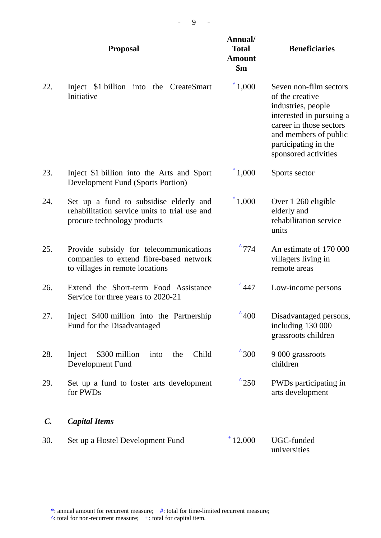|                 | <b>Proposal</b>                                                                                                        | Annual/<br><b>Total</b><br><b>Amount</b><br>$\mathbf{\$m}$ | <b>Beneficiaries</b>                                                                                                                                                                            |
|-----------------|------------------------------------------------------------------------------------------------------------------------|------------------------------------------------------------|-------------------------------------------------------------------------------------------------------------------------------------------------------------------------------------------------|
| 22.             | Inject \$1 billion into the CreateSmart<br>Initiative                                                                  | $^{\wedge}1,000$                                           | Seven non-film sectors<br>of the creative<br>industries, people<br>interested in pursuing a<br>career in those sectors<br>and members of public<br>participating in the<br>sponsored activities |
| 23.             | Inject \$1 billion into the Arts and Sport<br><b>Development Fund (Sports Portion)</b>                                 | $^{\circ}1,000$                                            | Sports sector                                                                                                                                                                                   |
| 24.             | Set up a fund to subsidise elderly and<br>rehabilitation service units to trial use and<br>procure technology products | $^{\wedge}1,000$                                           | Over 1 260 eligible<br>elderly and<br>rehabilitation service<br>units                                                                                                                           |
| 25.             | Provide subsidy for telecommunications<br>companies to extend fibre-based network<br>to villages in remote locations   | $^{\circ}774$                                              | An estimate of 170 000<br>villagers living in<br>remote areas                                                                                                                                   |
| 26.             | Extend the Short-term Food Assistance<br>Service for three years to 2020-21                                            | 447                                                        | Low-income persons                                                                                                                                                                              |
| 27.             | Inject \$400 million into the Partnership<br>Fund for the Disadvantaged                                                | $^{\degree}400$                                            | Disadvantaged persons,<br>including 130 000<br>grassroots children                                                                                                                              |
| 28.             | Child<br>\$300 million<br>Inject<br>the<br>into<br>Development Fund                                                    | $^{\prime}$ 300                                            | 9 000 grassroots<br>children                                                                                                                                                                    |
| 29.             | Set up a fund to foster arts development<br>for PWDs                                                                   | $^{\prime}$ 250                                            | PWDs participating in<br>arts development                                                                                                                                                       |
| $\mathcal{C}$ . | <b>Capital Items</b>                                                                                                   |                                                            |                                                                                                                                                                                                 |
| 30.             | Set up a Hostel Development Fund                                                                                       | $+12,000$                                                  | UGC-funded<br>universities                                                                                                                                                                      |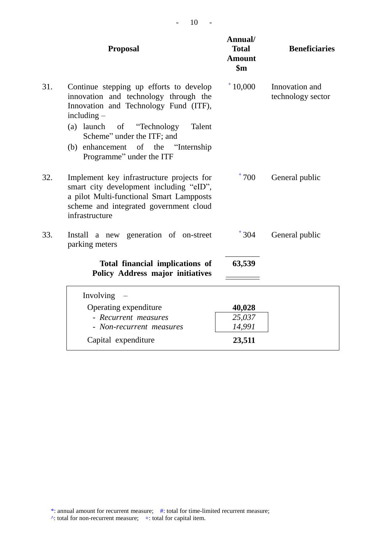|     | <b>Proposal</b>                                                                                                                                                                                                                                                                      | Annual/<br><b>Total</b><br><b>Amount</b><br>\$m\$ | <b>Beneficiaries</b>                |
|-----|--------------------------------------------------------------------------------------------------------------------------------------------------------------------------------------------------------------------------------------------------------------------------------------|---------------------------------------------------|-------------------------------------|
| 31. | Continue stepping up efforts to develop<br>innovation and technology through the<br>Innovation and Technology Fund (ITF),<br>including $-$<br>(a) launch<br>of "Technology<br>Talent<br>Scheme" under the ITF; and<br>(b) enhancement of the "Internship<br>Programme" under the ITF | $+10,000$                                         | Innovation and<br>technology sector |
| 32. | Implement key infrastructure projects for<br>smart city development including "eID",<br>a pilot Multi-functional Smart Lampposts<br>scheme and integrated government cloud<br>infrastructure                                                                                         | $+700$                                            | General public                      |
| 33. | Install a new generation of on-street<br>parking meters                                                                                                                                                                                                                              | $+304$                                            | General public                      |
|     | Total financial implications of<br><b>Policy Address major initiatives</b>                                                                                                                                                                                                           | 63,539                                            |                                     |
|     | Involving                                                                                                                                                                                                                                                                            |                                                   |                                     |
|     | Operating expenditure                                                                                                                                                                                                                                                                | 40,028                                            |                                     |
|     | - Recurrent measures                                                                                                                                                                                                                                                                 | 25,037                                            |                                     |
|     | - Non-recurrent measures                                                                                                                                                                                                                                                             | 14,991                                            |                                     |
|     | Capital expenditure                                                                                                                                                                                                                                                                  | 23,511                                            |                                     |

- 10 -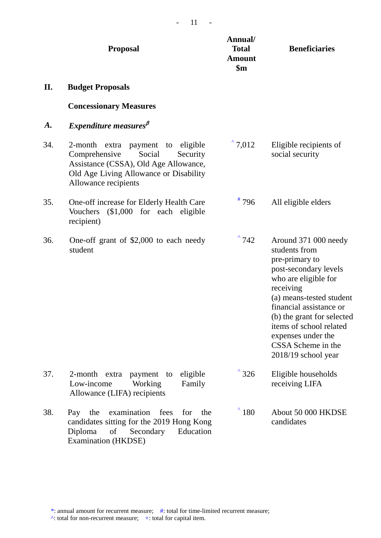|           | <b>Proposal</b>                                                                                                                                                                        | Annual/<br><b>Total</b><br><b>Amount</b><br>$\mathbf{\$m}$ | <b>Beneficiaries</b>                                                                                                                                                                                                                                                                                       |
|-----------|----------------------------------------------------------------------------------------------------------------------------------------------------------------------------------------|------------------------------------------------------------|------------------------------------------------------------------------------------------------------------------------------------------------------------------------------------------------------------------------------------------------------------------------------------------------------------|
| II.       | <b>Budget Proposals</b>                                                                                                                                                                |                                                            |                                                                                                                                                                                                                                                                                                            |
|           | <b>Concessionary Measures</b>                                                                                                                                                          |                                                            |                                                                                                                                                                                                                                                                                                            |
| <b>A.</b> | Expenditure measures $\beta$                                                                                                                                                           |                                                            |                                                                                                                                                                                                                                                                                                            |
| 34.       | 2-month extra payment to<br>eligible<br>Comprehensive<br>Social<br>Security<br>Assistance (CSSA), Old Age Allowance,<br>Old Age Living Allowance or Disability<br>Allowance recipients | $^{\circ}$ 7,012                                           | Eligible recipients of<br>social security                                                                                                                                                                                                                                                                  |
| 35.       | One-off increase for Elderly Health Care<br>$($1,000$ for each eligible<br><b>Vouchers</b><br>recipient)                                                                               | $*796$                                                     | All eligible elders                                                                                                                                                                                                                                                                                        |
| 36.       | One-off grant of \$2,000 to each needy<br>student                                                                                                                                      | $^{\circ}$ 742                                             | Around 371 000 needy<br>students from<br>pre-primary to<br>post-secondary levels<br>who are eligible for<br>receiving<br>(a) means-tested student<br>financial assistance or<br>(b) the grant for selected<br>items of school related<br>expenses under the<br>CSSA Scheme in the<br>$2018/19$ school year |
| 37.       | eligible<br>2-month<br>extra<br>payment<br>to<br>Low-income<br>Working<br>Family<br>Allowance (LIFA) recipients                                                                        | $^{\prime}$ 326                                            | Eligible households<br>receiving LIFA                                                                                                                                                                                                                                                                      |
| 38.       | examination<br>fees<br>the<br>the<br>for<br>Pay<br>candidates sitting for the 2019 Hong Kong<br>Secondary<br>Diploma<br>of<br>Education<br>Examination (HKDSE)                         | $^{\prime}$ 180                                            | About 50 000 HKDSE<br>candidates                                                                                                                                                                                                                                                                           |

 $- 11 - -$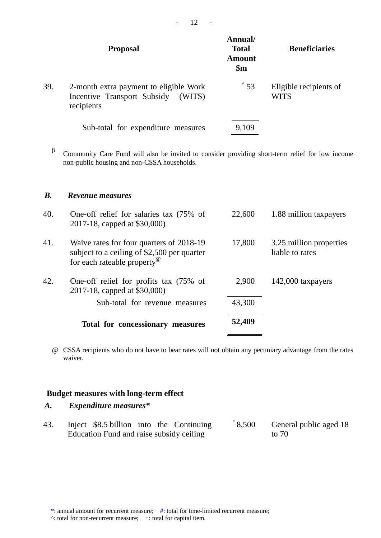|     | <b>Proposal</b>                                                                               | Annual/<br><b>Total</b><br>Amount<br>$\mathbf{\$m}$ | <b>Beneficiaries</b>           |
|-----|-----------------------------------------------------------------------------------------------|-----------------------------------------------------|--------------------------------|
| 39. | 2-month extra payment to eligible Work<br>Incentive Transport Subsidy<br>(WITS)<br>recipients | $^{\circ}$ 53                                       | Eligible recipients of<br>WITS |
|     | Sub-total for expenditure measures                                                            | 9,109                                               |                                |

 $\beta$ Community Care Fund will also be invited to consider providing short-term relief for low income non-public housing and non-CSSA households.

### *B. Revenue measures*

|     | Total for concessionary measures                                                                                                   | 52,409 |                                            |
|-----|------------------------------------------------------------------------------------------------------------------------------------|--------|--------------------------------------------|
|     | Sub-total for revenue measures                                                                                                     | 43,300 |                                            |
| 42. | One-off relief for profits tax (75% of<br>2017-18, capped at \$30,000)                                                             | 2,900  | 142,000 taxpayers                          |
| 41. | Waive rates for four quarters of 2018-19<br>subject to a ceiling of \$2,500 per quarter<br>for each rateable property <sup>®</sup> | 17,800 | 3.25 million properties<br>liable to rates |
| 40. | One-off relief for salaries tax (75% of<br>2017-18, capped at \$30,000)                                                            | 22,600 | 1.88 million taxpayers                     |

@ CSSA recipients who do not have to bear rates will not obtain any pecuniary advantage from the rates waiver.

### **Budget measures with long-term effect**

### *A. Expenditure measures\**

| 43. | Inject \$8.5 billion into the Continuing | $^{\circ}8,500$ | General public aged 18 |
|-----|------------------------------------------|-----------------|------------------------|
|     | Education Fund and raise subsidy ceiling |                 | to 70                  |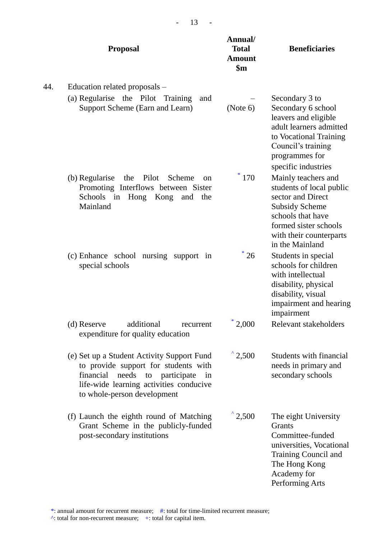|     | <b>Proposal</b>                                                                                                                                                                                            | Annual/<br><b>Total</b><br><b>Amount</b><br>$\mathbf{\$m}$ | <b>Beneficiaries</b>                                                                                                                                                                      |
|-----|------------------------------------------------------------------------------------------------------------------------------------------------------------------------------------------------------------|------------------------------------------------------------|-------------------------------------------------------------------------------------------------------------------------------------------------------------------------------------------|
| 44. | Education related proposals -                                                                                                                                                                              |                                                            |                                                                                                                                                                                           |
|     | (a) Regularise the Pilot Training<br>and<br>Support Scheme (Earn and Learn)                                                                                                                                | (Note 6)                                                   | Secondary 3 to<br>Secondary 6 school<br>leavers and eligible<br>adult learners admitted<br>to Vocational Training<br>Council's training<br>programmes for<br>specific industries          |
|     | Pilot<br>(b) Regularise<br>the<br>Scheme<br>on<br>Promoting Interflows between Sister<br>Schools<br>in Hong Kong<br>and the<br>Mainland                                                                    | 170                                                        | Mainly teachers and<br>students of local public<br>sector and Direct<br><b>Subsidy Scheme</b><br>schools that have<br>formed sister schools<br>with their counterparts<br>in the Mainland |
|     | (c) Enhance school nursing support in<br>special schools                                                                                                                                                   | 26                                                         | Students in special<br>schools for children<br>with intellectual<br>disability, physical<br>disability, visual<br>impairment and hearing<br>impairment                                    |
|     | (d) Reserve<br>additional<br>recurrent<br>expenditure for quality education                                                                                                                                | 2,000                                                      | Relevant stakeholders                                                                                                                                                                     |
|     | (e) Set up a Student Activity Support Fund<br>to provide support for students with<br>financial<br>needs<br>to participate<br>in<br>life-wide learning activities conducive<br>to whole-person development | $^{\wedge}$ 2,500                                          | Students with financial<br>needs in primary and<br>secondary schools                                                                                                                      |
|     | (f) Launch the eighth round of Matching<br>Grant Scheme in the publicly-funded<br>post-secondary institutions                                                                                              | $^{\wedge}$ 2,500                                          | The eight University<br>Grants<br>Committee-funded<br>universities, Vocational<br>Training Council and<br>The Hong Kong<br>Academy for<br>Performing Arts                                 |

- 13 -

\*: annual amount for recurrent measure; #: total for time-limited recurrent measure;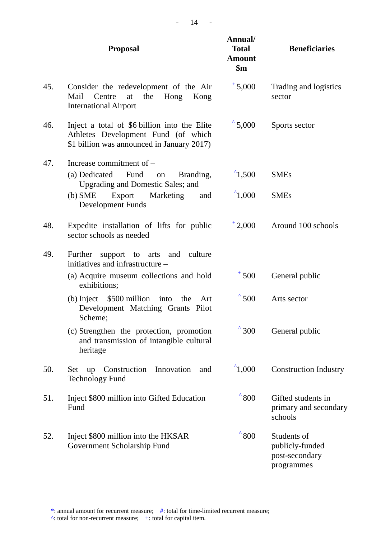|     | <b>Proposal</b>                                                                                                                   | Annual/<br><b>Total</b><br><b>Amount</b><br>$\mathbf{\$m}$ | <b>Beneficiaries</b>                                           |
|-----|-----------------------------------------------------------------------------------------------------------------------------------|------------------------------------------------------------|----------------------------------------------------------------|
| 45. | Consider the redevelopment of the Air<br>Mail<br>Centre<br>at<br>the<br>Hong<br>Kong<br><b>International Airport</b>              | $+5,000$                                                   | Trading and logistics<br>sector                                |
| 46. | Inject a total of \$6 billion into the Elite<br>Athletes Development Fund (of which<br>\$1 billion was announced in January 2017) | $^{\circ}$ 5,000                                           | Sports sector                                                  |
| 47. | Increase commitment of $-$<br>(a) Dedicated<br>Fund<br>Branding,<br>on<br><b>Upgrading and Domestic Sales; and</b>                | $^{\prime}$ 1,500                                          | <b>SMEs</b>                                                    |
|     | $(b)$ SME<br>Export<br>Marketing<br>and<br><b>Development Funds</b>                                                               | $^{\prime}$ 1,000                                          | <b>SMEs</b>                                                    |
| 48. | Expedite installation of lifts for public<br>sector schools as needed                                                             | $+2,000$                                                   | Around 100 schools                                             |
| 49. | Further<br>support to arts<br>culture<br>and<br>initiatives and infrastructure –                                                  |                                                            |                                                                |
|     | (a) Acquire museum collections and hold<br>exhibitions;                                                                           | $+500$                                                     | General public                                                 |
|     | (b) Inject $$500$ million into the<br>Art<br>Development Matching Grants Pilot<br>Scheme;                                         | $^{\degree}$ 500                                           | Arts sector                                                    |
|     | (c) Strengthen the protection, promotion<br>and transmission of intangible cultural<br>heritage                                   | $^{\degree}300$                                            | General public                                                 |
| 50. | Innovation<br>Construction<br>up<br>and<br>Set<br><b>Technology Fund</b>                                                          | $^{\prime}$ 1,000                                          | <b>Construction Industry</b>                                   |
| 51. | Inject \$800 million into Gifted Education<br>Fund                                                                                | $^{\prime}800$                                             | Gifted students in<br>primary and secondary<br>schools         |
| 52. | Inject \$800 million into the HKSAR<br>Government Scholarship Fund                                                                | $^{\prime}800$                                             | Students of<br>publicly-funded<br>post-secondary<br>programmes |

- 14 -

\*: annual amount for recurrent measure; #: total for time-limited recurrent measure;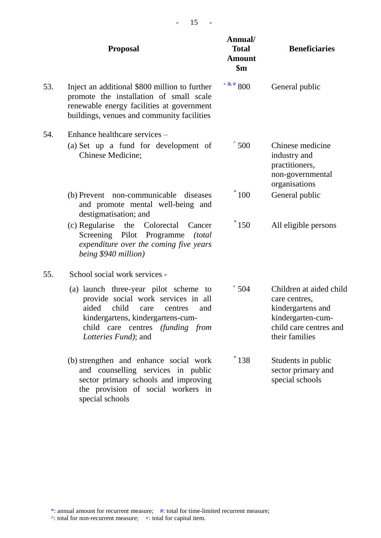|     | <b>Proposal</b>                                                                                                                                                                                                                   | Annual/<br><b>Total</b><br><b>Amount</b><br>$\mathbf{\$m}$ | <b>Beneficiaries</b>                                                                                                           |
|-----|-----------------------------------------------------------------------------------------------------------------------------------------------------------------------------------------------------------------------------------|------------------------------------------------------------|--------------------------------------------------------------------------------------------------------------------------------|
| 53. | Inject an additional \$800 million to further<br>promote the installation of small scale<br>renewable energy facilities at government<br>buildings, venues and community facilities                                               | $+$ & # 800                                                | General public                                                                                                                 |
| 54. | Enhance healthcare services –<br>(a) Set up a fund for development of<br>Chinese Medicine;                                                                                                                                        | $^{\prime}$ 500                                            | Chinese medicine<br>industry and<br>practitioners,<br>non-governmental<br>organisations                                        |
|     | (b) Prevent non-communicable<br>diseases<br>and promote mental well-being and<br>destigmatisation; and                                                                                                                            | $*100$                                                     | General public                                                                                                                 |
|     | (c) Regularise<br>the<br>Colorectal<br>Cancer<br>Screening Pilot Programme<br><i>(total)</i><br>expenditure over the coming five years<br>being \$940 million)                                                                    | $*150$                                                     | All eligible persons                                                                                                           |
| 55. | School social work services -                                                                                                                                                                                                     |                                                            |                                                                                                                                |
|     | (a) launch three-year pilot scheme to<br>provide social work services in all<br>aided<br>child<br>care<br>centres<br>and<br>kindergartens, kindergartens-cum-<br>child care centres (funding from<br><i>Lotteries Fund</i> ); and | $+504$                                                     | Children at aided child<br>care centres,<br>kindergartens and<br>kindergarten-cum-<br>child care centres and<br>their families |
|     | (b) strengthen and enhance social work<br>and counselling services in public<br>sector primary schools and improving<br>the provision of social workers in<br>special schools                                                     | $*138$                                                     | Students in public<br>sector primary and<br>special schools                                                                    |

- 15 -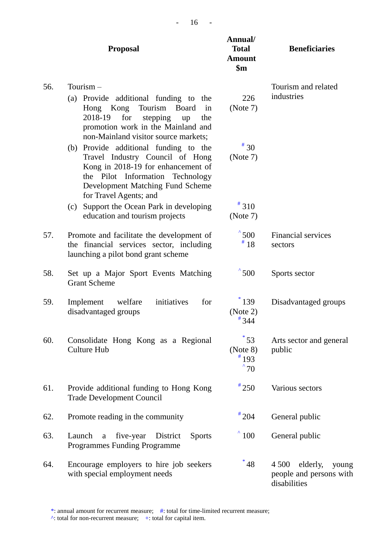|     | <b>Proposal</b>                                                                                                                                                                                                                   | Annual/<br><b>Total</b><br><b>Amount</b><br>$\mathbf{\$m}$ | <b>Beneficiaries</b>                                                    |
|-----|-----------------------------------------------------------------------------------------------------------------------------------------------------------------------------------------------------------------------------------|------------------------------------------------------------|-------------------------------------------------------------------------|
| 56. | Tourism $-$<br>(a) Provide additional funding to<br>the<br>Kong<br>Tourism<br><b>Board</b><br>Hong<br>in<br>2018-19<br>for<br>stepping<br>the<br>up<br>promotion work in the Mainland and<br>non-Mainland visitor source markets; | 226<br>(Note 7)                                            | Tourism and related<br>industries                                       |
|     | (b) Provide additional funding to the<br>Travel Industry Council of Hong<br>Kong in 2018-19 for enhancement of<br>the Pilot Information Technology<br>Development Matching Fund Scheme<br>for Travel Agents; and                  | $*30$<br>(Note 7)                                          |                                                                         |
|     | Support the Ocean Park in developing<br>(c)<br>education and tourism projects                                                                                                                                                     | $*310$<br>(Note 7)                                         |                                                                         |
| 57. | Promote and facilitate the development of<br>the financial services sector, including<br>launching a pilot bond grant scheme                                                                                                      | $^{\prime}500$<br>#18                                      | <b>Financial services</b><br>sectors                                    |
| 58. | Set up a Major Sport Events Matching<br><b>Grant Scheme</b>                                                                                                                                                                       | $^{\degree}500$                                            | Sports sector                                                           |
| 59. | initiatives<br>welfare<br>for<br>Implement<br>disadvantaged groups                                                                                                                                                                | $*139$<br>(Note 2)<br>$*344$                               | Disadvantaged groups                                                    |
| 60. | Consolidate Hong Kong as a Regional<br><b>Culture Hub</b>                                                                                                                                                                         | $^*$ 53<br>(Note 8)<br>$*193$<br>$^{\degree}70$            | Arts sector and general<br>public                                       |
| 61. | Provide additional funding to Hong Kong<br><b>Trade Development Council</b>                                                                                                                                                       | $*250$                                                     | Various sectors                                                         |
| 62. | Promote reading in the community                                                                                                                                                                                                  | $*204$                                                     | General public                                                          |
| 63. | <b>Sports</b><br>five-year<br>Launch<br>District<br>$\mathbf a$<br><b>Programmes Funding Programme</b>                                                                                                                            | $^{\prime}$ 100                                            | General public                                                          |
| 64. | Encourage employers to hire job seekers<br>with special employment needs                                                                                                                                                          | $^{\ast}$ 48                                               | elderly,<br>4 5 0 0<br>young<br>people and persons with<br>disabilities |

\*: annual amount for recurrent measure; #: total for time-limited recurrent measure;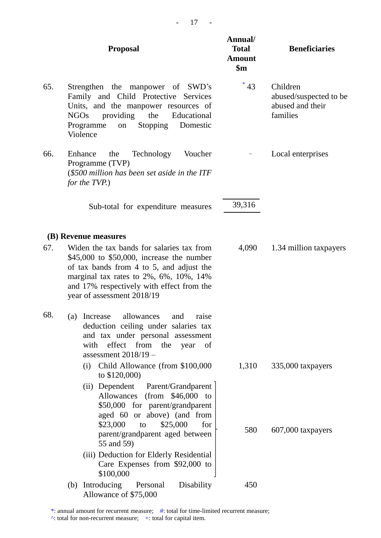|     | <b>Proposal</b>                                                                                                                                                                                                                                         | Annual/<br><b>Total</b><br><b>Amount</b><br>$\mathbf{\$m}$ | <b>Beneficiaries</b>                                               |
|-----|---------------------------------------------------------------------------------------------------------------------------------------------------------------------------------------------------------------------------------------------------------|------------------------------------------------------------|--------------------------------------------------------------------|
| 65. | Strengthen the manpower of SWD's<br>Family and Child Protective Services<br>Units, and the manpower resources of<br>the<br>Educational<br><b>NGOs</b><br>providing<br>Programme<br><b>Stopping</b><br>Domestic<br>on<br>Violence                        | $*43$                                                      | Children<br>abused/suspected to be<br>abused and their<br>families |
| 66. | Technology<br>Voucher<br>Enhance<br>the<br>Programme (TVP)<br>(\$500 million has been set aside in the ITF<br>for the TVP.)                                                                                                                             |                                                            | Local enterprises                                                  |
|     | Sub-total for expenditure measures                                                                                                                                                                                                                      | 39,316                                                     |                                                                    |
|     | (B) Revenue measures                                                                                                                                                                                                                                    |                                                            |                                                                    |
| 67. | Widen the tax bands for salaries tax from<br>\$45,000 to \$50,000, increase the number<br>of tax bands from 4 to 5, and adjust the<br>marginal tax rates to 2%, 6%, 10%, 14%<br>and 17% respectively with effect from the<br>year of assessment 2018/19 | 4,090                                                      | 1.34 million taxpayers                                             |
| 68. | (a) Increase allowances and raise<br>deduction ceiling under salaries tax<br>and tax under personal assessment<br>effect from<br>with<br>the<br>of<br>year<br>assessment $2018/19 -$                                                                    |                                                            |                                                                    |
|     | Child Allowance (from \$100,000)<br>(i)                                                                                                                                                                                                                 | 1,310                                                      | 335,000 taxpayers                                                  |
|     | to $$120,000$<br>(ii) Dependent Parent/Grandparent<br>$(from \$46,000$<br>Allowances<br>to<br>\$50,000 for parent/grandparent<br>aged 60 or above) (and from                                                                                            |                                                            |                                                                    |
|     | \$23,000<br>\$25,000<br>for<br>to<br>parent/grandparent aged between<br>55 and 59)                                                                                                                                                                      | 580                                                        | 607,000 taxpayers                                                  |
|     | (iii) Deduction for Elderly Residential<br>Care Expenses from \$92,000 to<br>\$100,000                                                                                                                                                                  |                                                            |                                                                    |
|     | Introducing<br>Disability<br>Personal<br>(b)                                                                                                                                                                                                            | 450                                                        |                                                                    |

- 17 -

Allowance of \$75,000

\*: annual amount for recurrent measure; #: total for time-limited recurrent measure;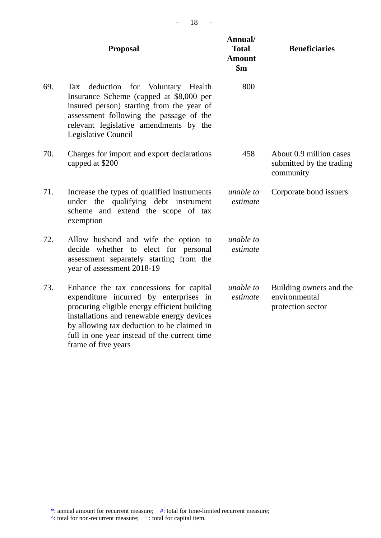| 18 |  |
|----|--|
|----|--|

|     | <b>Proposal</b>                                                                                                                                                                                                                                                                                      | Annual/<br><b>Total</b><br><b>Amount</b><br>$\mathbf{\$m}$ | <b>Beneficiaries</b>                                             |
|-----|------------------------------------------------------------------------------------------------------------------------------------------------------------------------------------------------------------------------------------------------------------------------------------------------------|------------------------------------------------------------|------------------------------------------------------------------|
| 69. | deduction for Voluntary Health<br>Tax<br>Insurance Scheme (capped at \$8,000 per<br>insured person) starting from the year of<br>assessment following the passage of the<br>relevant legislative amendments by the<br>Legislative Council                                                            | 800                                                        |                                                                  |
| 70. | Charges for import and export declarations<br>capped at \$200                                                                                                                                                                                                                                        | 458                                                        | About 0.9 million cases<br>submitted by the trading<br>community |
| 71. | Increase the types of qualified instruments<br>under the qualifying debt instrument<br>scheme and extend the scope of tax<br>exemption                                                                                                                                                               | unable to<br>estimate                                      | Corporate bond issuers                                           |
| 72. | Allow husband and wife the option to<br>decide whether to elect for personal<br>assessment separately starting from the<br>year of assessment 2018-19                                                                                                                                                | unable to<br>estimate                                      |                                                                  |
| 73. | Enhance the tax concessions for capital<br>expenditure incurred by enterprises in<br>procuring eligible energy efficient building<br>installations and renewable energy devices<br>by allowing tax deduction to be claimed in<br>full in one year instead of the current time<br>frame of five years | unable to<br>estimate                                      | Building owners and the<br>environmental<br>protection sector    |

 $\wedge$ : total for non-recurrent measure; +: total for capital item.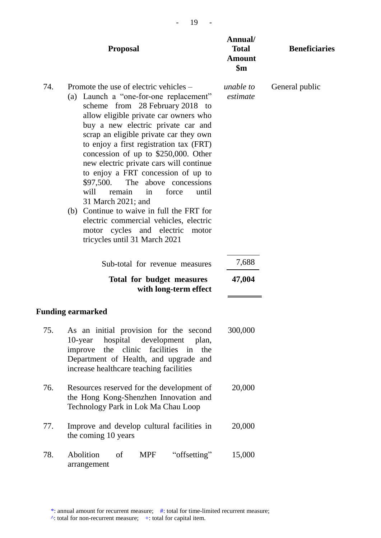|     | <b>Proposal</b>                                                                                                                                                                                                                                                                                                                                                                                                                                                                                                                                                                                                                                                                      | Annual/<br><b>Total</b><br><b>Amount</b><br>$\mathbf{\$m}$ | <b>Beneficiaries</b> |
|-----|--------------------------------------------------------------------------------------------------------------------------------------------------------------------------------------------------------------------------------------------------------------------------------------------------------------------------------------------------------------------------------------------------------------------------------------------------------------------------------------------------------------------------------------------------------------------------------------------------------------------------------------------------------------------------------------|------------------------------------------------------------|----------------------|
| 74. | Promote the use of electric vehicles –<br>(a) Launch a "one-for-one replacement"<br>scheme from 28 February 2018 to<br>allow eligible private car owners who<br>buy a new electric private car and<br>scrap an eligible private car they own<br>to enjoy a first registration tax (FRT)<br>concession of up to \$250,000. Other<br>new electric private cars will continue<br>to enjoy a FRT concession of up to<br>\$97,500.<br>The above concessions<br>remain<br>force<br>will<br>in<br>until<br>31 March 2021; and<br>(b) Continue to waive in full the FRT for<br>electric commercial vehicles, electric<br>motor cycles and electric<br>motor<br>tricycles until 31 March 2021 | unable to<br>estimate                                      | General public       |
|     | Sub-total for revenue measures                                                                                                                                                                                                                                                                                                                                                                                                                                                                                                                                                                                                                                                       | 7,688                                                      |                      |
|     | Total for budget measures<br>with long-term effect                                                                                                                                                                                                                                                                                                                                                                                                                                                                                                                                                                                                                                   | 47,004                                                     |                      |
|     | Funding earmarked                                                                                                                                                                                                                                                                                                                                                                                                                                                                                                                                                                                                                                                                    |                                                            |                      |
| 75. | As an initial provision for the second<br>hospital development plan,<br>$10$ -year<br>the clinic facilities<br>in the<br>improve<br>Department of Health, and upgrade and<br>increase healthcare teaching facilities                                                                                                                                                                                                                                                                                                                                                                                                                                                                 | 300,000                                                    |                      |
| 76. | Resources reserved for the development of<br>the Hong Kong-Shenzhen Innovation and<br>Technology Park in Lok Ma Chau Loop                                                                                                                                                                                                                                                                                                                                                                                                                                                                                                                                                            | 20,000                                                     |                      |
| 77. | Improve and develop cultural facilities in<br>the coming 10 years                                                                                                                                                                                                                                                                                                                                                                                                                                                                                                                                                                                                                    | 20,000                                                     |                      |
| 78. | Abolition<br>"offsetting"<br>of<br><b>MPF</b><br>arrangement                                                                                                                                                                                                                                                                                                                                                                                                                                                                                                                                                                                                                         | 15,000                                                     |                      |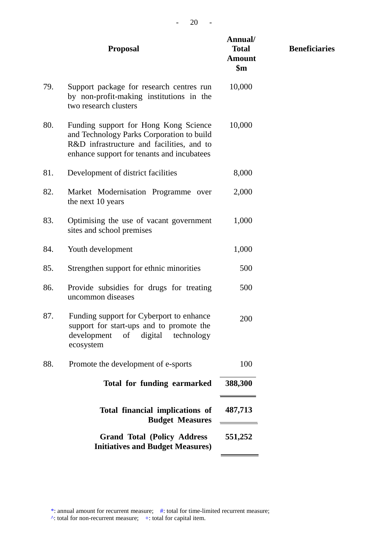| <b>Proposal</b>                                                                                                                                                               | Annual/<br><b>Total</b><br><b>Amount</b><br>$\mathbf{\$m}$ | <b>Beneficiaries</b> |
|-------------------------------------------------------------------------------------------------------------------------------------------------------------------------------|------------------------------------------------------------|----------------------|
| Support package for research centres run<br>by non-profit-making institutions in the<br>two research clusters                                                                 | 10,000                                                     |                      |
| Funding support for Hong Kong Science<br>and Technology Parks Corporation to build<br>R&D infrastructure and facilities, and to<br>enhance support for tenants and incubatees | 10,000                                                     |                      |
| Development of district facilities                                                                                                                                            | 8,000                                                      |                      |
| Market Modernisation Programme over<br>the next 10 years                                                                                                                      | 2,000                                                      |                      |
| Optimising the use of vacant government<br>sites and school premises                                                                                                          | 1,000                                                      |                      |
| Youth development                                                                                                                                                             | 1,000                                                      |                      |
| Strengthen support for ethnic minorities                                                                                                                                      | 500                                                        |                      |
| Provide subsidies for drugs for treating<br>uncommon diseases                                                                                                                 | 500                                                        |                      |
| Funding support for Cyberport to enhance<br>support for start-ups and to promote the<br>development<br>digital<br>of<br>technology<br>ecosystem                               | 200                                                        |                      |
| Promote the development of e-sports                                                                                                                                           | 100                                                        |                      |
| Total for funding earmarked                                                                                                                                                   | 388,300                                                    |                      |
| Total financial implications of<br><b>Budget Measures</b>                                                                                                                     | 487,713                                                    |                      |
| <b>Grand Total (Policy Address</b><br><b>Initiatives and Budget Measures)</b>                                                                                                 | 551,252                                                    |                      |
|                                                                                                                                                                               |                                                            |                      |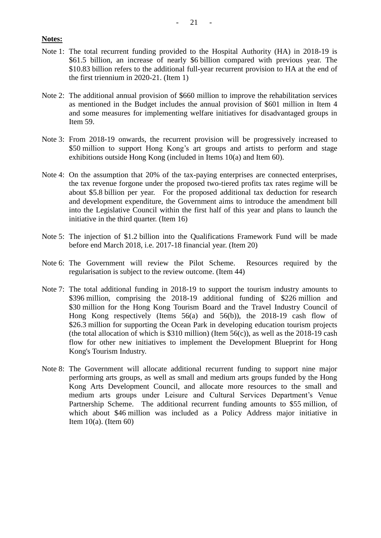#### **Notes:**

- Note 1: The total recurrent funding provided to the Hospital Authority (HA) in 2018-19 is \$61.5 billion, an increase of nearly \$6 billion compared with previous year. The \$10.83 billion refers to the additional full-year recurrent provision to HA at the end of the first triennium in 2020-21. (Item 1)
- Note 2: The additional annual provision of \$660 million to improve the rehabilitation services as mentioned in the Budget includes the annual provision of \$601 million in Item 4 and some measures for implementing welfare initiatives for disadvantaged groups in Item 59.
- Note 3: From 2018-19 onwards, the recurrent provision will be progressively increased to \$50 million to support Hong Kong's art groups and artists to perform and stage exhibitions outside Hong Kong (included in Items 10(a) and Item 60).
- Note 4: On the assumption that 20% of the tax-paying enterprises are connected enterprises, the tax revenue forgone under the proposed two-tiered profits tax rates regime will be about \$5.8 billion per year. For the proposed additional tax deduction for research and development expenditure, the Government aims to introduce the amendment bill into the Legislative Council within the first half of this year and plans to launch the initiative in the third quarter. (Item 16)
- Note 5: The injection of \$1.2 billion into the Qualifications Framework Fund will be made before end March 2018, i.e. 2017-18 financial year. (Item 20)
- Note 6: The Government will review the Pilot Scheme. Resources required by the regularisation is subject to the review outcome. (Item 44)
- Note 7: The total additional funding in 2018-19 to support the tourism industry amounts to \$396 million, comprising the 2018-19 additional funding of \$226 million and \$30 million for the Hong Kong Tourism Board and the Travel Industry Council of Hong Kong respectively (Items 56(a) and 56(b)), the 2018-19 cash flow of \$26.3 million for supporting the Ocean Park in developing education tourism projects (the total allocation of which is  $$310$  million) (Item  $56(c)$ ), as well as the 2018-19 cash flow for other new initiatives to implement the Development Blueprint for Hong Kong's Tourism Industry.
- Note 8: The Government will allocate additional recurrent funding to support nine major performing arts groups, as well as small and medium arts groups funded by the Hong Kong Arts Development Council, and allocate more resources to the small and medium arts groups under Leisure and Cultural Services Department's Venue Partnership Scheme. The additional recurrent funding amounts to \$55 million, of which about \$46 million was included as a Policy Address major initiative in Item 10(a). (Item 60)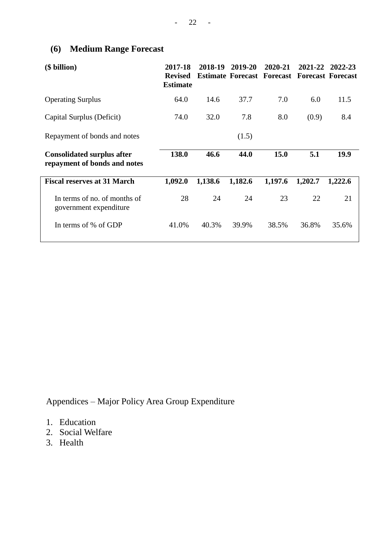# **(6) Medium Range Forecast**

| (\$ billion)                                                      | 2017-18<br><b>Revised</b><br><b>Estimate</b> | 2018-19 | 2019-20 | 2020-21<br><b>Estimate Forecast Forecast Forecast Forecast</b> | 2021-22 | 2022-23 |
|-------------------------------------------------------------------|----------------------------------------------|---------|---------|----------------------------------------------------------------|---------|---------|
| <b>Operating Surplus</b>                                          | 64.0                                         | 14.6    | 37.7    | 7.0                                                            | 6.0     | 11.5    |
| Capital Surplus (Deficit)                                         | 74.0                                         | 32.0    | 7.8     | 8.0                                                            | (0.9)   | 8.4     |
| Repayment of bonds and notes                                      |                                              |         | (1.5)   |                                                                |         |         |
| <b>Consolidated surplus after</b><br>repayment of bonds and notes | 138.0                                        | 46.6    | 44.0    | 15.0                                                           | 5.1     | 19.9    |
| <b>Fiscal reserves at 31 March</b>                                | 1,092.0                                      | 1,138.6 | 1,182.6 | 1,197.6                                                        | 1,202.7 | 1,222.6 |
| In terms of no. of months of<br>government expenditure            | 28                                           | 24      | 24      | 23                                                             | 22      | 21      |
| In terms of % of GDP                                              | 41.0%                                        | 40.3%   | 39.9%   | 38.5%                                                          | 36.8%   | 35.6%   |

Appendices – Major Policy Area Group Expenditure

- 1. Education
- 2. Social Welfare
- 3. Health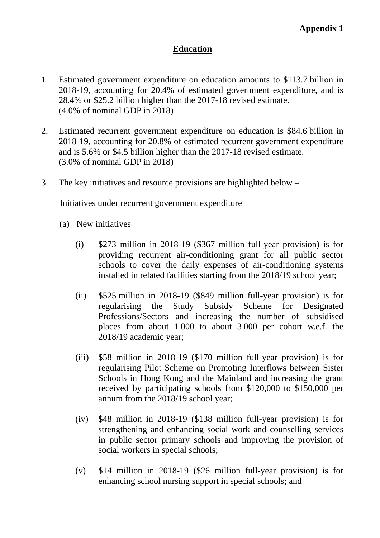## **Education**

- 1. Estimated government expenditure on education amounts to \$113.7 billion in 2018-19, accounting for 20.4% of estimated government expenditure, and is 28.4% or \$25.2 billion higher than the 2017-18 revised estimate. (4.0% of nominal GDP in 2018)
- 2. Estimated recurrent government expenditure on education is \$84.6 billion in 2018-19, accounting for 20.8% of estimated recurrent government expenditure and is 5.6% or \$4.5 billion higher than the 2017-18 revised estimate. (3.0% of nominal GDP in 2018)
- 3. The key initiatives and resource provisions are highlighted below –

### Initiatives under recurrent government expenditure

- (a) New initiatives
	- (i) \$273 million in 2018-19 (\$367 million full-year provision) is for providing recurrent air-conditioning grant for all public sector schools to cover the daily expenses of air-conditioning systems installed in related facilities starting from the 2018/19 school year;
	- (ii) \$525 million in 2018-19 (\$849 million full-year provision) is for regularising the Study Subsidy Scheme for Designated Professions/Sectors and increasing the number of subsidised places from about 1 000 to about 3 000 per cohort w.e.f. the 2018/19 academic year;
	- (iii) \$58 million in 2018-19 (\$170 million full-year provision) is for regularising Pilot Scheme on Promoting Interflows between Sister Schools in Hong Kong and the Mainland and increasing the grant received by participating schools from \$120,000 to \$150,000 per annum from the 2018/19 school year;
	- (iv) \$48 million in 2018-19 (\$138 million full-year provision) is for strengthening and enhancing social work and counselling services in public sector primary schools and improving the provision of social workers in special schools;
	- (v) \$14 million in 2018-19 (\$26 million full-year provision) is for enhancing school nursing support in special schools; and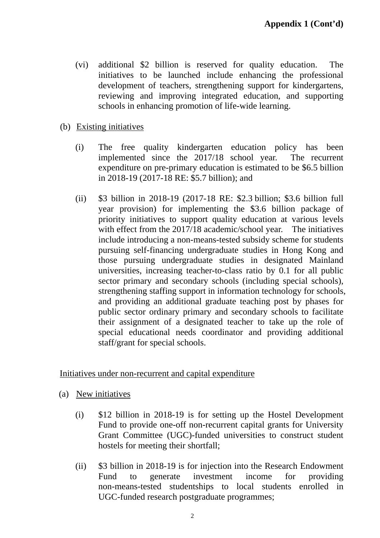- (vi) additional \$2 billion is reserved for quality education. The initiatives to be launched include enhancing the professional development of teachers, strengthening support for kindergartens, reviewing and improving integrated education, and supporting schools in enhancing promotion of life-wide learning.
- (b) Existing initiatives
	- (i) The free quality kindergarten education policy has been implemented since the 2017/18 school year. The recurrent expenditure on pre-primary education is estimated to be \$6.5 billion in 2018-19 (2017-18 RE: \$5.7 billion); and
	- (ii) \$3 billion in 2018-19 (2017-18 RE: \$2.3 billion; \$3.6 billion full year provision) for implementing the \$3.6 billion package of priority initiatives to support quality education at various levels with effect from the 2017/18 academic/school year. The initiatives include introducing a non-means-tested subsidy scheme for students pursuing self-financing undergraduate studies in Hong Kong and those pursuing undergraduate studies in designated Mainland universities, increasing teacher-to-class ratio by 0.1 for all public sector primary and secondary schools (including special schools), strengthening staffing support in information technology for schools, and providing an additional graduate teaching post by phases for public sector ordinary primary and secondary schools to facilitate their assignment of a designated teacher to take up the role of special educational needs coordinator and providing additional staff/grant for special schools.

Initiatives under non-recurrent and capital expenditure

- (a) New initiatives
	- (i) \$12 billion in 2018-19 is for setting up the Hostel Development Fund to provide one-off non-recurrent capital grants for University Grant Committee (UGC)-funded universities to construct student hostels for meeting their shortfall;
	- (ii) \$3 billion in 2018-19 is for injection into the Research Endowment Fund to generate investment income for providing non-means-tested studentships to local students enrolled in UGC-funded research postgraduate programmes;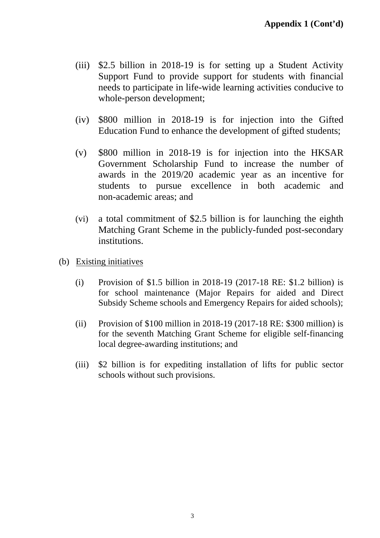- (iii) \$2.5 billion in 2018-19 is for setting up a Student Activity Support Fund to provide support for students with financial needs to participate in life-wide learning activities conducive to whole-person development;
- (iv) \$800 million in 2018-19 is for injection into the Gifted Education Fund to enhance the development of gifted students;
- (v) \$800 million in 2018-19 is for injection into the HKSAR Government Scholarship Fund to increase the number of awards in the 2019/20 academic year as an incentive for students to pursue excellence in both academic and non-academic areas; and
- (vi) a total commitment of \$2.5 billion is for launching the eighth Matching Grant Scheme in the publicly-funded post-secondary institutions.
- (b) Existing initiatives
	- (i) Provision of \$1.5 billion in 2018-19 (2017-18 RE: \$1.2 billion) is for school maintenance (Major Repairs for aided and Direct Subsidy Scheme schools and Emergency Repairs for aided schools);
	- (ii) Provision of \$100 million in 2018-19 (2017-18 RE: \$300 million) is for the seventh Matching Grant Scheme for eligible self-financing local degree-awarding institutions; and
	- (iii) \$2 billion is for expediting installation of lifts for public sector schools without such provisions.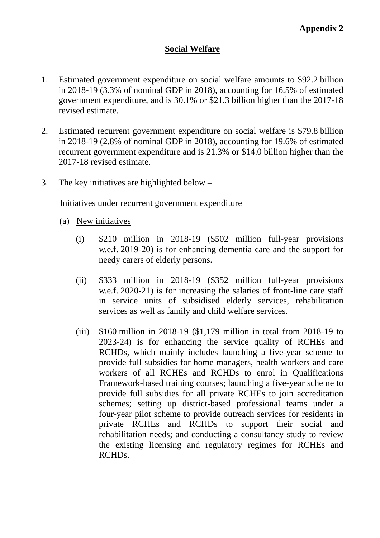## **Social Welfare**

- 1. Estimated government expenditure on social welfare amounts to \$92.2 billion in 2018-19 (3.3% of nominal GDP in 2018), accounting for 16.5% of estimated government expenditure, and is 30.1% or \$21.3 billion higher than the 2017-18 revised estimate.
- 2. Estimated recurrent government expenditure on social welfare is \$79.8 billion in 2018-19 (2.8% of nominal GDP in 2018), accounting for 19.6% of estimated recurrent government expenditure and is 21.3% or \$14.0 billion higher than the 2017-18 revised estimate.
- 3. The key initiatives are highlighted below –

### Initiatives under recurrent government expenditure

- (a) New initiatives
	- (i) \$210 million in 2018-19 (\$502 million full-year provisions w.e.f. 2019-20) is for enhancing dementia care and the support for needy carers of elderly persons.
	- (ii) \$333 million in 2018-19 (\$352 million full-year provisions w.e.f. 2020-21) is for increasing the salaries of front-line care staff in service units of subsidised elderly services, rehabilitation services as well as family and child welfare services.
	- (iii)  $$160$  million in 2018-19 (\$1,179 million in total from 2018-19 to 2023-24) is for enhancing the service quality of RCHEs and RCHDs, which mainly includes launching a five-year scheme to provide full subsidies for home managers, health workers and care workers of all RCHEs and RCHDs to enrol in Qualifications Framework-based training courses; launching a five-year scheme to provide full subsidies for all private RCHEs to join accreditation schemes; setting up district-based professional teams under a four-year pilot scheme to provide outreach services for residents in private RCHEs and RCHDs to support their social and rehabilitation needs; and conducting a consultancy study to review the existing licensing and regulatory regimes for RCHEs and RCHDs.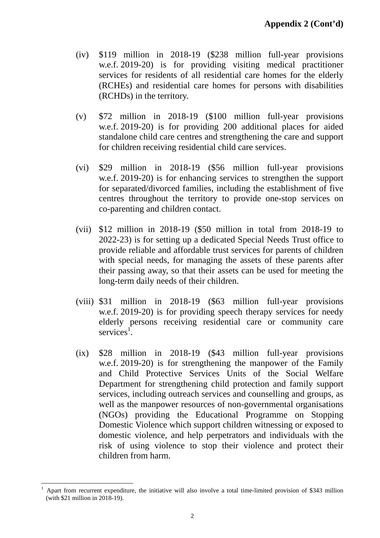- (iv) \$119 million in 2018-19 (\$238 million full-year provisions w.e.f. 2019-20) is for providing visiting medical practitioner services for residents of all residential care homes for the elderly (RCHEs) and residential care homes for persons with disabilities (RCHDs) in the territory.
- (v) \$72 million in 2018-19 (\$100 million full-year provisions w.e.f. 2019-20) is for providing 200 additional places for aided standalone child care centres and strengthening the care and support for children receiving residential child care services.
- (vi) \$29 million in 2018-19 (\$56 million full-year provisions w.e.f. 2019-20) is for enhancing services to strengthen the support for separated/divorced families, including the establishment of five centres throughout the territory to provide one-stop services on co-parenting and children contact.
- (vii) \$12 million in 2018-19 (\$50 million in total from 2018-19 to 2022-23) is for setting up a dedicated Special Needs Trust office to provide reliable and affordable trust services for parents of children with special needs, for managing the assets of these parents after their passing away, so that their assets can be used for meeting the long-term daily needs of their children.
- (viii) \$31 million in 2018-19 (\$63 million full-year provisions w.e.f. 2019-20) is for providing speech therapy services for needy elderly persons receiving residential care or community care  $s$ ervices<sup>1</sup>.
- (ix) \$28 million in 2018-19 (\$43 million full-year provisions w.e.f. 2019-20) is for strengthening the manpower of the Family and Child Protective Services Units of the Social Welfare Department for strengthening child protection and family support services, including outreach services and counselling and groups, as well as the manpower resources of non-governmental organisations (NGOs) providing the Educational Programme on Stopping Domestic Violence which support children witnessing or exposed to domestic violence, and help perpetrators and individuals with the risk of using violence to stop their violence and protect their children from harm.

 $\overline{a}$ 

<sup>1</sup> Apart from recurrent expenditure, the initiative will also involve a total time-limited provision of \$343 million (with \$21 million in 2018-19).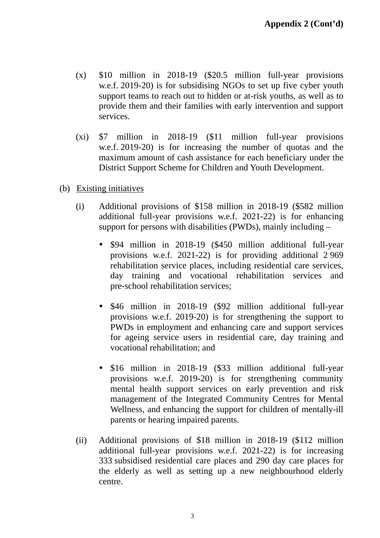- (x) \$10 million in 2018-19 (\$20.5 million full-year provisions w.e.f. 2019-20) is for subsidising NGOs to set up five cyber youth support teams to reach out to hidden or at-risk youths, as well as to provide them and their families with early intervention and support services.
- (xi) \$7 million in 2018-19 (\$11 million full-year provisions w.e.f. 2019-20) is for increasing the number of quotas and the maximum amount of cash assistance for each beneficiary under the District Support Scheme for Children and Youth Development.
- (b) Existing initiatives
	- (i) Additional provisions of \$158 million in 2018-19 (\$582 million additional full-year provisions w.e.f. 2021-22) is for enhancing support for persons with disabilities (PWDs), mainly including –
		- \$94 million in 2018-19 (\$450 million additional full-year provisions w.e.f. 2021-22) is for providing additional 2 969 rehabilitation service places, including residential care services, day training and vocational rehabilitation services and pre-school rehabilitation services;
		- \$46 million in 2018-19 (\$92 million additional full-year provisions w.e.f. 2019-20) is for strengthening the support to PWDs in employment and enhancing care and support services for ageing service users in residential care, day training and vocational rehabilitation; and
		- \$16 million in 2018-19 (\$33 million additional full-year provisions w.e.f. 2019-20) is for strengthening community mental health support services on early prevention and risk management of the Integrated Community Centres for Mental Wellness, and enhancing the support for children of mentally-ill parents or hearing impaired parents.
	- (ii) Additional provisions of \$18 million in 2018-19 (\$112 million additional full-year provisions w.e.f. 2021-22) is for increasing 333 subsidised residential care places and 290 day care places for the elderly as well as setting up a new neighbourhood elderly centre.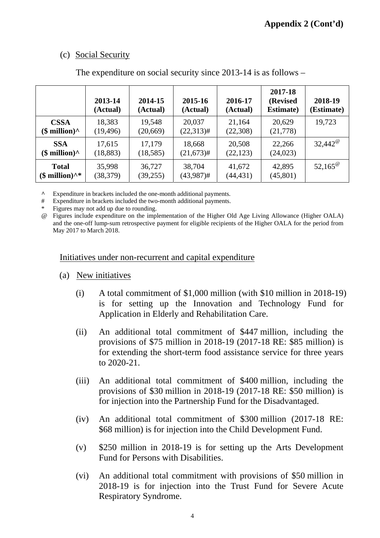## (c) Social Security

|                                               | 2013-14<br>(Actual) | 2014-15<br>(Actual) | 2015-16<br>(Actual) | 2016-17<br>(Actual) | 2017-18<br>(Revised<br><b>Estimate</b> ) | 2018-19<br>(Estimate) |
|-----------------------------------------------|---------------------|---------------------|---------------------|---------------------|------------------------------------------|-----------------------|
| <b>CSSA</b>                                   | 18,383              | 19,548              | 20,037              | 21,164              | 20,629                                   | 19,723                |
| $$$ million) <sup><math>\wedge</math></sup>   | (19, 496)           | (20, 669)           | $(22,313)$ #        | (22,308)            | (21,778)                                 |                       |
| <b>SSA</b>                                    | 17,615              | 17,179              | 18,668              | 20,508              | 22,266                                   | $32,442^{\circ}$      |
| $$$ million) <sup><math>\wedge</math></sup>   | (18, 883)           | (18, 585)           | $(21,673)$ #        | (22, 123)           | (24, 023)                                |                       |
| <b>Total</b>                                  | 35,998              | 36,727              | 38,704              | 41,672              | 42,895                                   | $52,165^{\circ}$      |
| $$$ million) <sup><math>\wedge^*</math></sup> | (38, 379)           | (39,255)            | $(43,987)$ #        | (44, 431)           | (45, 801)                                |                       |

The expenditure on social security since 2013-14 is as follows –

**^** Expenditure in brackets included the one-month additional payments.

# Expenditure in brackets included the two-month additional payments.

Figures may not add up due to rounding.

@ Figures include expenditure on the implementation of the Higher Old Age Living Allowance (Higher OALA) and the one-off lump-sum retrospective payment for eligible recipients of the Higher OALA for the period from May 2017 to March 2018.

Initiatives under non-recurrent and capital expenditure

- (a) New initiatives
	- (i) A total commitment of \$1,000 million (with \$10 million in 2018-19) is for setting up the Innovation and Technology Fund for Application in Elderly and Rehabilitation Care.
	- (ii) An additional total commitment of \$447 million, including the provisions of \$75 million in 2018-19 (2017-18 RE: \$85 million) is for extending the short-term food assistance service for three years to 2020-21.
	- (iii) An additional total commitment of \$400 million, including the provisions of \$30 million in 2018-19 (2017-18 RE: \$50 million) is for injection into the Partnership Fund for the Disadvantaged.
	- (iv) An additional total commitment of \$300 million (2017-18 RE: \$68 million) is for injection into the Child Development Fund.
	- (v) \$250 million in 2018-19 is for setting up the Arts Development Fund for Persons with Disabilities.
	- (vi) An additional total commitment with provisions of \$50 million in 2018-19 is for injection into the Trust Fund for Severe Acute Respiratory Syndrome.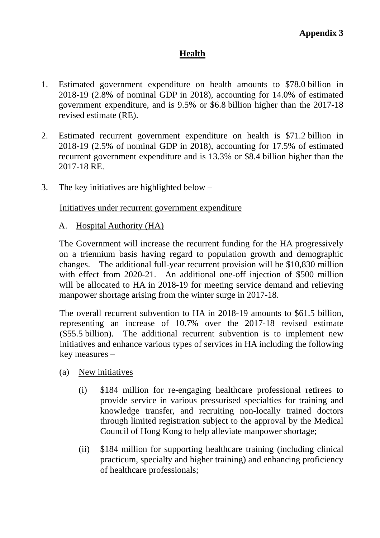## **Health**

- 1. Estimated government expenditure on health amounts to \$78.0 billion in 2018-19 (2.8% of nominal GDP in 2018), accounting for 14.0% of estimated government expenditure, and is 9.5% or \$6.8 billion higher than the 2017-18 revised estimate (RE).
- 2. Estimated recurrent government expenditure on health is \$71.2 billion in 2018-19 (2.5% of nominal GDP in 2018), accounting for 17.5% of estimated recurrent government expenditure and is 13.3% or \$8.4 billion higher than the 2017-18 RE.
- 3. The key initiatives are highlighted below –

Initiatives under recurrent government expenditure

A. Hospital Authority (HA)

The Government will increase the recurrent funding for the HA progressively on a triennium basis having regard to population growth and demographic changes. The additional full-year recurrent provision will be \$10,830 million with effect from 2020-21. An additional one-off injection of \$500 million will be allocated to HA in 2018-19 for meeting service demand and relieving manpower shortage arising from the winter surge in 2017-18.

The overall recurrent subvention to HA in 2018-19 amounts to \$61.5 billion, representing an increase of 10.7% over the 2017-18 revised estimate (\$55.5 billion). The additional recurrent subvention is to implement new initiatives and enhance various types of services in HA including the following key measures –

- (a) New initiatives
	- (i) \$184 million for re-engaging healthcare professional retirees to provide service in various pressurised specialties for training and knowledge transfer, and recruiting non-locally trained doctors through limited registration subject to the approval by the Medical Council of Hong Kong to help alleviate manpower shortage;
	- (ii) \$184 million for supporting healthcare training (including clinical practicum, specialty and higher training) and enhancing proficiency of healthcare professionals;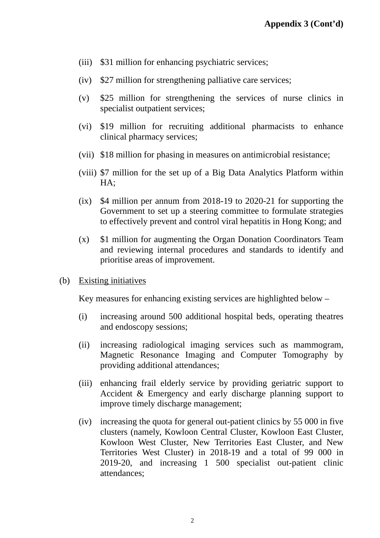- (iii) \$31 million for enhancing psychiatric services;
- (iv) \$27 million for strengthening palliative care services;
- (v) \$25 million for strengthening the services of nurse clinics in specialist outpatient services:
- (vi) \$19 million for recruiting additional pharmacists to enhance clinical pharmacy services;
- (vii) \$18 million for phasing in measures on antimicrobial resistance;
- (viii) \$7 million for the set up of a Big Data Analytics Platform within HA;
- (ix) \$4 million per annum from 2018-19 to 2020-21 for supporting the Government to set up a steering committee to formulate strategies to effectively prevent and control viral hepatitis in Hong Kong; and
- (x) \$1 million for augmenting the Organ Donation Coordinators Team and reviewing internal procedures and standards to identify and prioritise areas of improvement.
- (b) Existing initiatives

Key measures for enhancing existing services are highlighted below –

- (i) increasing around 500 additional hospital beds, operating theatres and endoscopy sessions;
- (ii) increasing radiological imaging services such as mammogram, Magnetic Resonance Imaging and Computer Tomography by providing additional attendances;
- (iii) enhancing frail elderly service by providing geriatric support to Accident & Emergency and early discharge planning support to improve timely discharge management;
- (iv) increasing the quota for general out-patient clinics by 55 000 in five clusters (namely, Kowloon Central Cluster, Kowloon East Cluster, Kowloon West Cluster, New Territories East Cluster, and New Territories West Cluster) in 2018-19 and a total of 99 000 in 2019-20, and increasing 1 500 specialist out-patient clinic attendances;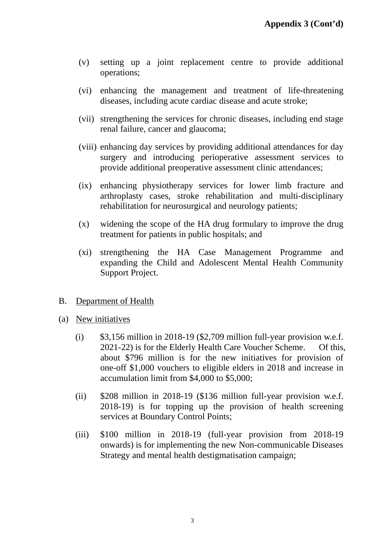- (v) setting up a joint replacement centre to provide additional operations;
- (vi) enhancing the management and treatment of life-threatening diseases, including acute cardiac disease and acute stroke;
- (vii) strengthening the services for chronic diseases, including end stage renal failure, cancer and glaucoma;
- (viii) enhancing day services by providing additional attendances for day surgery and introducing perioperative assessment services to provide additional preoperative assessment clinic attendances;
- (ix) enhancing physiotherapy services for lower limb fracture and arthroplasty cases, stroke rehabilitation and multi-disciplinary rehabilitation for neurosurgical and neurology patients;
- (x) widening the scope of the HA drug formulary to improve the drug treatment for patients in public hospitals; and
- (xi) strengthening the HA Case Management Programme and expanding the Child and Adolescent Mental Health Community Support Project.

### B. Department of Health

- (a) New initiatives
	- (i)  $$3,156$  million in 2018-19 (\$2,709 million full-year provision w.e.f. 2021-22) is for the Elderly Health Care Voucher Scheme. Of this, about \$796 million is for the new initiatives for provision of one-off \$1,000 vouchers to eligible elders in 2018 and increase in accumulation limit from \$4,000 to \$5,000;
	- (ii) \$208 million in 2018-19 (\$136 million full-year provision w.e.f. 2018-19) is for topping up the provision of health screening services at Boundary Control Points;
	- (iii) \$100 million in 2018-19 (full-year provision from 2018-19 onwards) is for implementing the new Non-communicable Diseases Strategy and mental health destigmatisation campaign;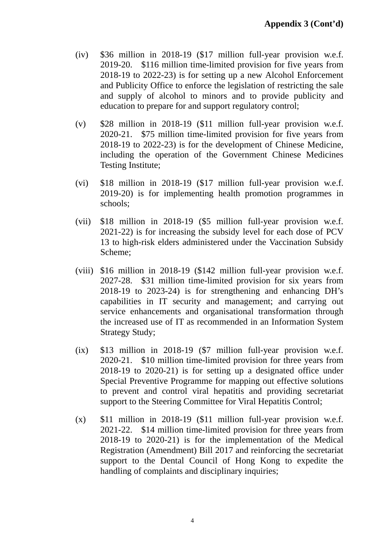- (iv) \$36 million in 2018-19 (\$17 million full-year provision w.e.f. 2019-20. \$116 million time-limited provision for five years from 2018-19 to 2022-23) is for setting up a new Alcohol Enforcement and Publicity Office to enforce the legislation of restricting the sale and supply of alcohol to minors and to provide publicity and education to prepare for and support regulatory control;
- (v) \$28 million in 2018-19 (\$11 million full-year provision w.e.f. 2020-21. \$75 million time-limited provision for five years from 2018-19 to 2022-23) is for the development of Chinese Medicine, including the operation of the Government Chinese Medicines Testing Institute;
- (vi) \$18 million in 2018-19 (\$17 million full-year provision w.e.f. 2019-20) is for implementing health promotion programmes in schools;
- (vii) \$18 million in 2018-19 (\$5 million full-year provision w.e.f. 2021-22) is for increasing the subsidy level for each dose of PCV 13 to high-risk elders administered under the Vaccination Subsidy Scheme;
- (viii) \$16 million in 2018-19 (\$142 million full-year provision w.e.f. 2027-28. \$31 million time-limited provision for six years from 2018-19 to 2023-24) is for strengthening and enhancing DH's capabilities in IT security and management; and carrying out service enhancements and organisational transformation through the increased use of IT as recommended in an Information System Strategy Study;
- (ix) \$13 million in 2018-19 (\$7 million full-year provision w.e.f. 2020-21. \$10 million time-limited provision for three years from 2018-19 to 2020-21) is for setting up a designated office under Special Preventive Programme for mapping out effective solutions to prevent and control viral hepatitis and providing secretariat support to the Steering Committee for Viral Hepatitis Control;
- (x) \$11 million in 2018-19 (\$11 million full-year provision w.e.f. 2021-22. \$14 million time-limited provision for three years from 2018-19 to 2020-21) is for the implementation of the Medical Registration (Amendment) Bill 2017 and reinforcing the secretariat support to the Dental Council of Hong Kong to expedite the handling of complaints and disciplinary inquiries;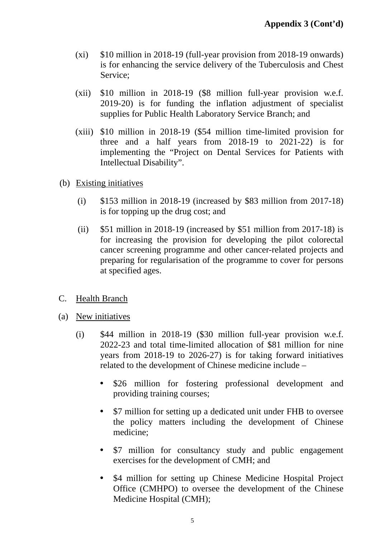- (xi) \$10 million in 2018-19 (full-year provision from 2018-19 onwards) is for enhancing the service delivery of the Tuberculosis and Chest Service;
- (xii) \$10 million in 2018-19 (\$8 million full-year provision w.e.f. 2019-20) is for funding the inflation adjustment of specialist supplies for Public Health Laboratory Service Branch; and
- (xiii) \$10 million in 2018-19 (\$54 million time-limited provision for three and a half years from 2018-19 to 2021-22) is for implementing the "Project on Dental Services for Patients with Intellectual Disability".
- (b) Existing initiatives
	- (i)  $$153$  million in 2018-19 (increased by \$83 million from 2017-18) is for topping up the drug cost; and
	- (ii) \$51 million in 2018-19 (increased by \$51 million from 2017-18) is for increasing the provision for developing the pilot colorectal cancer screening programme and other cancer-related projects and preparing for regularisation of the programme to cover for persons at specified ages.
- C. Health Branch
- (a) New initiatives
	- (i) \$44 million in 2018-19 (\$30 million full-year provision w.e.f. 2022-23 and total time-limited allocation of \$81 million for nine years from 2018-19 to 2026-27) is for taking forward initiatives related to the development of Chinese medicine include –
		- \$26 million for fostering professional development and providing training courses;
		- \$7 million for setting up a dedicated unit under FHB to oversee the policy matters including the development of Chinese medicine;
		- \$7 million for consultancy study and public engagement exercises for the development of CMH; and
		- \$4 million for setting up Chinese Medicine Hospital Project Office (CMHPO) to oversee the development of the Chinese Medicine Hospital (CMH);